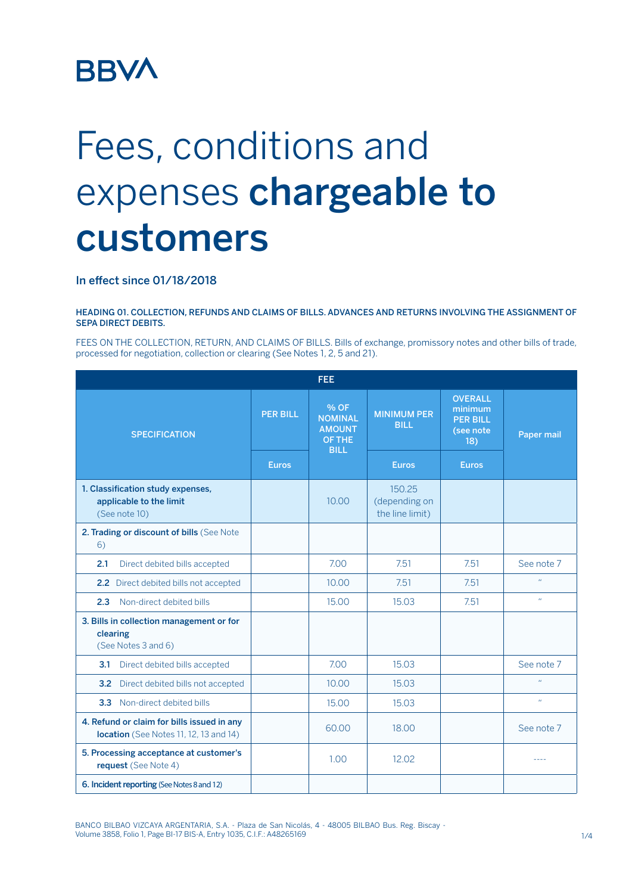# **BBVA**

# Fees, conditions and expenses chargeable to customers

## In effect since 01/18/2018

HEADING 01. COLLECTION, REFUNDS AND CLAIMS OF BILLS. ADVANCES AND RETURNS INVOLVING THE ASSIGNMENT OF SEPA DIRECT DEBITS.

FEES ON THE COLLECTION, RETURN, AND CLAIMS OF BILLS. Bills of exchange, promissory notes and other bills of trade, processed for negotiation, collection or clearing (See Notes 1, 2, 5 and 21).

| <b>FEE</b>                                                                           |                 |                                                                  |                                            |                                                                  |                  |  |  |
|--------------------------------------------------------------------------------------|-----------------|------------------------------------------------------------------|--------------------------------------------|------------------------------------------------------------------|------------------|--|--|
| <b>SPECIFICATION</b>                                                                 | <b>PER BILL</b> | % OF<br><b>NOMINAL</b><br><b>AMOUNT</b><br>OF THE<br><b>BILL</b> | <b>MINIMUM PER</b><br><b>BILL</b>          | <b>OVERALL</b><br>minimum<br><b>PER BILL</b><br>(see note<br>18) | Paper mail       |  |  |
|                                                                                      | <b>Euros</b>    |                                                                  | <b>Euros</b>                               | <b>Euros</b>                                                     |                  |  |  |
| 1. Classification study expenses,<br>applicable to the limit<br>(See note 10)        |                 | 10.00                                                            | 150.25<br>(depending on<br>the line limit) |                                                                  |                  |  |  |
| 2. Trading or discount of bills (See Note<br>6)                                      |                 |                                                                  |                                            |                                                                  |                  |  |  |
| 2.1<br>Direct debited bills accepted                                                 |                 | 7.00                                                             | 7.51                                       | 7.51                                                             | See note 7       |  |  |
| 2.2 Direct debited bills not accepted                                                |                 | 10.00                                                            | 7.51                                       | 7.51                                                             | $\bar{H}$        |  |  |
| Non-direct debited bills<br>2.3                                                      |                 | 15.00                                                            | 15.03                                      | 7.51                                                             | $\bar{H}$        |  |  |
| 3. Bills in collection management or for<br>clearing<br>(See Notes 3 and 6)          |                 |                                                                  |                                            |                                                                  |                  |  |  |
| Direct debited bills accepted<br>3.1                                                 |                 | 7.00                                                             | 15.03                                      |                                                                  | See note 7       |  |  |
| Direct debited bills not accepted<br>3.2                                             |                 | 10.00                                                            | 15.03                                      |                                                                  | $\boldsymbol{H}$ |  |  |
| 3.3 Non-direct debited bills                                                         |                 | 15.00                                                            | 15.03                                      |                                                                  | $\mathbf{u}$     |  |  |
| 4. Refund or claim for bills issued in any<br>location (See Notes 11, 12, 13 and 14) |                 | 60.00                                                            | 18.00                                      |                                                                  | See note 7       |  |  |
| 5. Processing acceptance at customer's<br>request (See Note 4)                       |                 | 1.00                                                             | 12.02                                      |                                                                  | ----             |  |  |
| 6. Incident reporting (See Notes 8 and 12)                                           |                 |                                                                  |                                            |                                                                  |                  |  |  |

BANCO BILBAO VIZCAYA ARGENTARIA, S.A. - Plaza de San Nicolás, 4 - 48005 BILBAO Bus. Reg. Biscay - Volume 3858, Folio 1, Page BI-17 BIS-A, Entry 1035, C.I.F.: A48265169 1/4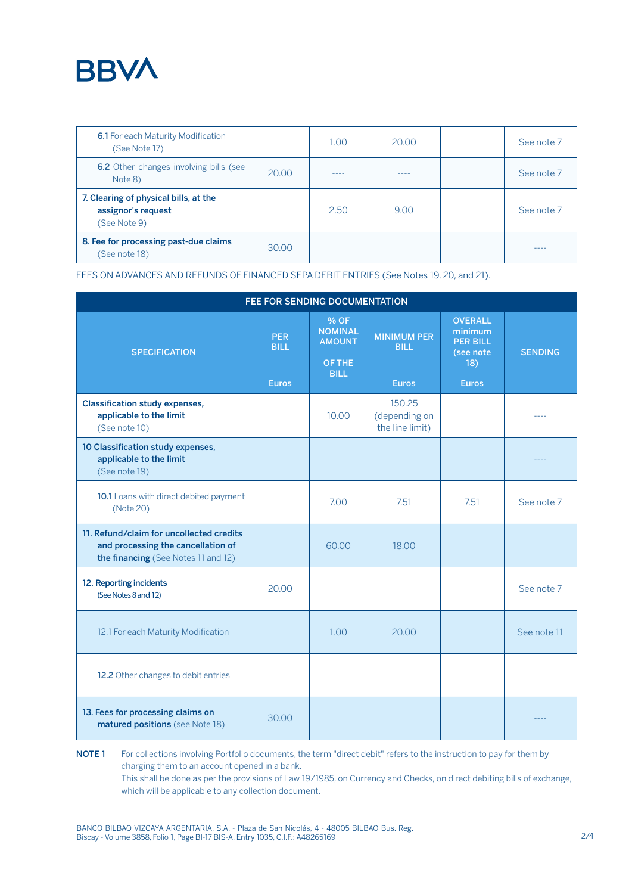

| <b>6.1</b> For each Maturity Modification<br>(See Note 17)                  |       | 1.00 | 20.00 | See note 7 |
|-----------------------------------------------------------------------------|-------|------|-------|------------|
| <b>6.2</b> Other changes involving bills (see<br>Note 8)                    | 20.00 | ---- | ----  | See note 7 |
| 7. Clearing of physical bills, at the<br>assignor's request<br>(See Note 9) |       | 2.50 | 9.00  | See note 7 |
| 8. Fee for processing past-due claims<br>(See note 18)                      | 30.00 |      |       |            |

FEES ON ADVANCES AND REFUNDS OF FINANCED SEPA DEBIT ENTRIES (See Notes 19, 20, and 21).

| FEE FOR SENDING DOCUMENTATION                                                                                         |                           |                                                   |                                            |                                                                  |                |  |  |
|-----------------------------------------------------------------------------------------------------------------------|---------------------------|---------------------------------------------------|--------------------------------------------|------------------------------------------------------------------|----------------|--|--|
| <b>SPECIFICATION</b>                                                                                                  | <b>PER</b><br><b>BILL</b> | % OF<br><b>NOMINAL</b><br><b>AMOUNT</b><br>OF THE | <b>MINIMUM PER</b><br><b>BILL</b>          | <b>OVERALL</b><br>minimum<br><b>PER BILL</b><br>(see note<br>18) | <b>SENDING</b> |  |  |
|                                                                                                                       | <b>Euros</b>              | <b>BILL</b>                                       | <b>Euros</b>                               | <b>Euros</b>                                                     |                |  |  |
| <b>Classification study expenses,</b><br>applicable to the limit<br>(See note 10)                                     |                           | 10.00                                             | 150.25<br>(depending on<br>the line limit) |                                                                  |                |  |  |
| 10 Classification study expenses,<br>applicable to the limit<br>(See note 19)                                         |                           |                                                   |                                            |                                                                  |                |  |  |
| 10.1 Loans with direct debited payment<br>(Note 20)                                                                   |                           | 7.00                                              | 7.51                                       | 7.51                                                             | See note 7     |  |  |
| 11. Refund/claim for uncollected credits<br>and processing the cancellation of<br>the financing (See Notes 11 and 12) |                           | 60.00                                             | 18.00                                      |                                                                  |                |  |  |
| 12. Reporting incidents<br>(See Notes 8 and 12)                                                                       | 20.00                     |                                                   |                                            |                                                                  | See note 7     |  |  |
| 12.1 For each Maturity Modification                                                                                   |                           | 1.00                                              | 20.00                                      |                                                                  | See note 11    |  |  |
| 12.2 Other changes to debit entries                                                                                   |                           |                                                   |                                            |                                                                  |                |  |  |
| 13. Fees for processing claims on<br>matured positions (see Note 18)                                                  | 30.00                     |                                                   |                                            |                                                                  |                |  |  |

NOTE 1 For collections involving Portfolio documents, the term "direct debit" refers to the instruction to pay for them by charging them to an account opened in a bank. This shall be done as per the provisions of Law 19/1985, on Currency and Checks, on direct debiting bills of exchange, which will be applicable to any collection document.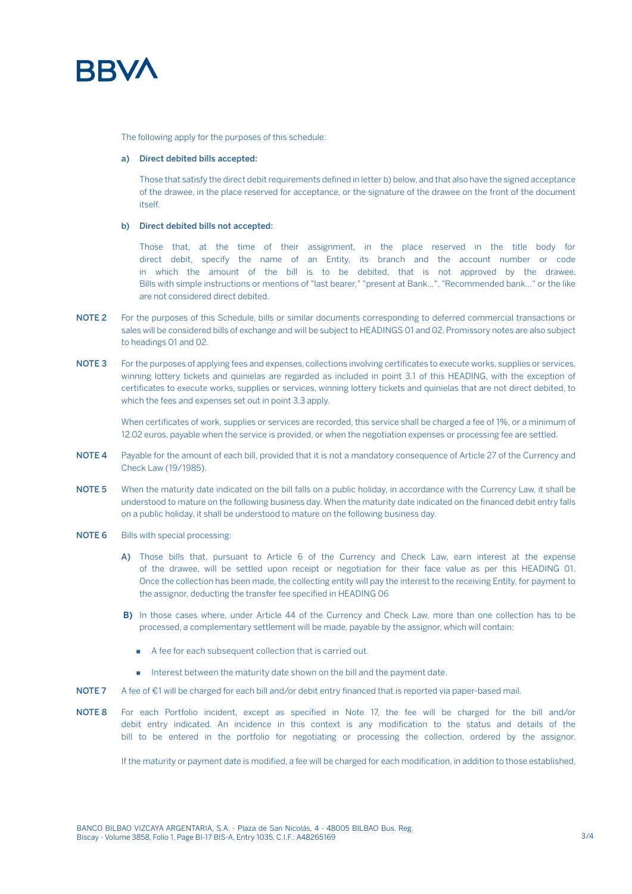

The following apply for the purposes of this schedule:

### a) Direct debited bills accepted:

Those that satisfy the direct debit requirements defined in letter b) below, and that also have the signed acceptance of the drawee, in the place reserved for acceptance, or the signature of the drawee on the front of the document itself.

#### b) Direct debited bills not accepted:

Those that, at the time of their assignment, in the place reserved in the title body for direct debit, specify the name of an Entity, its branch and the account number or code in which the amount of the bill is to be debited, that is not approved by the drawee. Bills with simple instructions or mentions of "last bearer," "present at Bank...", "Recommended bank..." or the like are not considered direct debited.

- NOTE 2 For the purposes of this Schedule, bills or similar documents corresponding to deferred commercial transactions or sales will be considered bills of exchange and will be subject to HEADINGS 01 and 02. Promissory notes are also subject to headings 01 and 02.
- NOTE 3 For the purposes of applying fees and expenses, collections involving certificates to execute works, supplies or services, winning lottery tickets and quinielas are regarded as included in point 3.1 of this HEADING, with the exception of certificates to execute works, supplies or services, winning lottery tickets and quinielas that are not direct debited, to which the fees and expenses set out in point 3.3 apply.

When certificates of work, supplies or services are recorded, this service shall be charged a fee of 1%, or a minimum of 12.02 euros, payable when the service is provided, or when the negotiation expenses or processing fee are settled.

- NOTE 4 Payable for the amount of each bill, provided that it is not a mandatory consequence of Article 27 of the Currency and Check Law (19/1985).
- NOTE 5 When the maturity date indicated on the bill falls on a public holiday, in accordance with the Currency Law, it shall be understood to mature on the following business day. When the maturity date indicated on the financed debit entry falls on a public holiday, it shall be understood to mature on the following business day.
- NOTE 6 Bills with special processing:
	- A) Those bills that, pursuant to Article 6 of the Currency and Check Law, earn interest at the expense of the drawee, will be settled upon receipt or negotiation for their face value as per this HEADING 01. Once the collection has been made, the collecting entity will pay the interest to the receiving Entity, for payment to the assignor, deducting the transfer fee specified in HEADING 06
	- B) In those cases where, under Article 44 of the Currency and Check Law, more than one collection has to be processed, a complementary settlement will be made, payable by the assignor, which will contain:
		- A fee for each subsequent collection that is carried out.
		- **EXECUTE:** Interest between the maturity date shown on the bill and the payment date.
- NOTE 7 A fee of €1 will be charged for each bill and/or debit entry financed that is reported via paper-based mail.
- NOTE 8 For each Portfolio incident, except as specified in Note 17, the fee will be charged for the bill and/or debit entry indicated. An incidence in this context is any modification to the status and details of the bill to be entered in the portfolio for negotiating or processing the collection, ordered by the assignor.

If the maturity or payment date is modified, a fee will be charged for each modification, in addition to those established,